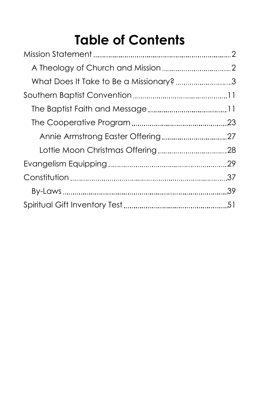# **Table of Contents**

| What Does It Take to Be a Missionary? 3 |  |
|-----------------------------------------|--|
|                                         |  |
|                                         |  |
|                                         |  |
|                                         |  |
|                                         |  |
|                                         |  |
|                                         |  |
|                                         |  |
|                                         |  |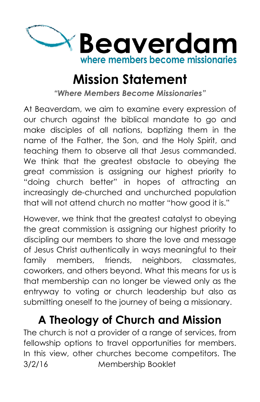

# **Mission Statement**

*"Where Members Become Missionaries"*

At Beaverdam, we aim to examine every expression of our church against the biblical mandate to go and make disciples of all nations, baptizing them in the name of the Father, the Son, and the Holy Spirit, and teaching them to observe all that Jesus commanded. We think that the greatest obstacle to obeying the great commission is assigning our highest priority to "doing church better" in hopes of attracting an increasingly de-churched and unchurched population that will not attend church no matter "how good it is."

However, we think that the greatest catalyst to obeying the great commission is assigning our highest priority to discipling our members to share the love and message of Jesus Christ authentically in ways meaningful to their family members, friends, neighbors, classmates, coworkers, and others beyond. What this means for us is that membership can no longer be viewed only as the entryway to voting or church leadership but also as submitting oneself to the journey of being a missionary.

# **A Theology of Church and Mission**

3/2/16 Membership Booklet The church is not a provider of a range of services, from fellowship options to travel opportunities for members. In this view, other churches become competitors. The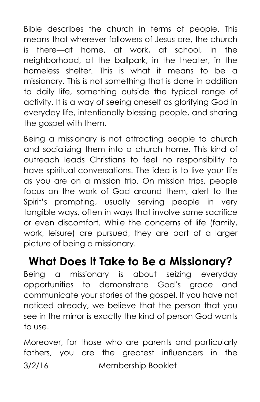<span id="page-2-0"></span>Bible describes the church in terms of people. This means that wherever followers of Jesus are, the church is there—at home, at work, at school, in the neighborhood, at the ballpark, in the theater, in the homeless shelter. This is what it means to be a missionary. This is not something that is done in addition to daily life, something outside the typical range of activity. It is a way of seeing oneself as glorifying God in everyday life, intentionally blessing people, and sharing the gospel with them.

Being a missionary is not attracting people to church and socializing them into a church home. This kind of outreach leads Christians to feel no responsibility to have spiritual conversations. The idea is to live your life as you are on a mission trip. On mission trips, people focus on the work of God around them, alert to the Spirit's prompting, usually serving people in very tangible ways, often in ways that involve some sacrifice or even discomfort. While the concerns of life (family, work, leisure) are pursued, they are part of a larger picture of being a missionary.

# **What Does It Take to Be a Missionary?**

Being a missionary is about seizing everyday opportunities to demonstrate God's grace and communicate your stories of the gospel. If you have not noticed already, we believe that the person that you see in the mirror is exactly the kind of person God wants to use.

<span id="page-2-1"></span>3/2/16 Membership Booklet 3 Moreover, for those who are parents and particularly fathers, you are the greatest influencers in the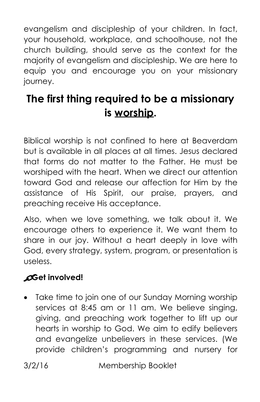evangelism and discipleship of your children. In fact, your household, workplace, and schoolhouse, not the church building, should serve as the context for the majority of evangelism and discipleship. We are here to equip you and encourage you on your missionary journey.

# **The first thing required to be a missionary is worship.**

Biblical worship is not confined to here at Beaverdam but is available in all places at all times. Jesus declared that forms do not matter to the Father. He must be worshiped with the heart. When we direct our attention toward God and release our affection for Him by the assistance of His Spirit, our praise, prayers, and preaching receive His acceptance.

Also, when we love something, we talk about it. We encourage others to experience it. We want them to share in our joy. Without a heart deeply in love with God, every strategy, system, program, or presentation is useless.

### <span id="page-3-0"></span>**Get involved!**

 Take time to join one of our Sunday Morning worship services at 8:45 am or 11 am. We believe singing, giving, and preaching work together to lift up our hearts in worship to God. We aim to edify believers and evangelize unbelievers in these services. (We provide children's programming and nursery for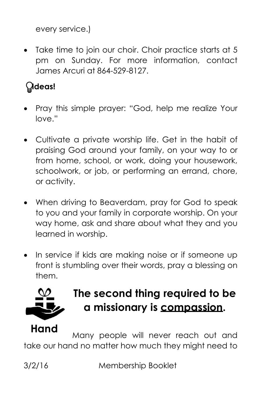every service.)

 Take time to join our choir. Choir practice starts at 5 pm on Sunday. For more information, contact James Arcuri at 864-529-8127.

# **Ideas!**

- Pray this simple prayer: "God, help me realize Your love."
- Cultivate a private worship life. Get in the habit of praising God around your family, on your way to or from home, school, or work, doing your housework, schoolwork, or job, or performing an errand, chore, or activity.
- When driving to Beaverdam, pray for God to speak to you and your family in corporate worship. On your way home, ask and share about what they and you learned in worship.
- In service if kids are making noise or if someone up front is stumbling over their words, pray a blessing on them.



# **The second thing required to be a missionary is compassion.**

**Hand** Many people will never reach out and take our hand no matter how much they might need to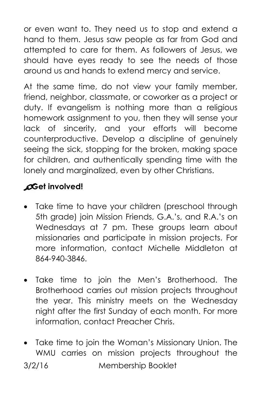or even want to. They need us to stop and extend a hand to them. Jesus saw people as far from God and attempted to care for them. As followers of Jesus, we should have eyes ready to see the needs of those around us and hands to extend mercy and service.

At the same time, do not view your family member, friend, neighbor, classmate, or coworker as a project or duty. If evangelism is nothing more than a religious homework assignment to you, then they will sense your lack of sincerity, and your efforts will become counterproductive. Develop a discipline of genuinely seeing the sick, stopping for the broken, making space for children, and authentically spending time with the lonely and marginalized, even by other Christians.

### **Get involved!**

- Take time to have your children (preschool through 5th grade) join Mission Friends, G.A.'s, and R.A.'s on Wednesdays at 7 pm. These groups learn about missionaries and participate in mission projects. For more information, contact Michelle Middleton at 864-940-3846.
- Take time to join the Men's Brotherhood. The Brotherhood carries out mission projects throughout the year. This ministry meets on the Wednesday night after the first Sunday of each month. For more information, contact Preacher Chris.
- 3/2/16 Membership Booklet 6 Take time to join the Woman's Missionary Union. The WMU carries on mission projects throughout the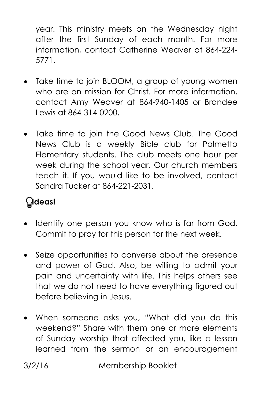year. This ministry meets on the Wednesday night after the first Sunday of each month. For more information, contact Catherine Weaver at 864-224- 5771.

- Take time to join BLOOM, a group of young women who are on mission for Christ. For more information, contact Amy Weaver at 864-940-1405 or Brandee Lewis at 864-314-0200.
- Take time to join the Good News Club. The Good News Club is a weekly Bible club for Palmetto Elementary students. The club meets one hour per week during the school year. Our church members teach it. If you would like to be involved, contact Sandra Tucker at 864-221-2031.

### **Ideas!**

- Identify one person you know who is far from God. Commit to pray for this person for the next week.
- Seize opportunities to converse about the presence and power of God. Also, be willing to admit your pain and uncertainty with life. This helps others see that we do not need to have everything figured out before believing in Jesus.
- When someone asks you, "What did you do this weekend?" Share with them one or more elements of Sunday worship that affected you, like a lesson learned from the sermon or an encouragement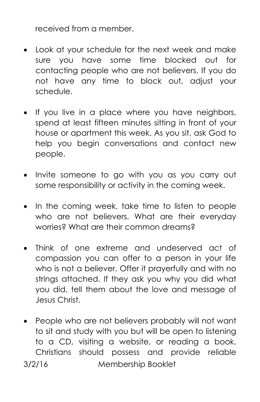received from a member.

- Look at your schedule for the next week and make sure you have some time blocked out for contacting people who are not believers. If you do not have any time to block out, adjust your schedule.
- If you live in a place where you have neighbors, spend at least fifteen minutes sitting in front of your house or apartment this week. As you sit, ask God to help you begin conversations and contact new people.
- Invite someone to go with you as you carry out some responsibility or activity in the coming week.
- In the coming week, take time to listen to people who are not believers. What are their everyday worries? What are their common dreams?
- Think of one extreme and undeserved act of compassion you can offer to a person in your life who is not a believer. Offer it prayerfully and with no strings attached. If they ask you why you did what you did, tell them about the love and message of Jesus Christ.
- 3/2/16 Membership Booklet • People who are not believers probably will not want to sit and study with you but will be open to listening to a CD, visiting a website, or reading a book. Christians should possess and provide reliable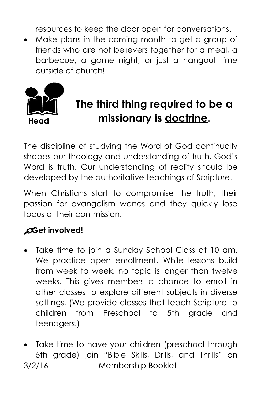resources to keep the door open for conversations.

 Make plans in the coming month to get a group of friends who are not believers together for a meal, a barbecue, a game night, or just a hangout time outside of church!



# **The third thing required to be a missionary is doctrine.**

The discipline of studying the Word of God continually shapes our theology and understanding of truth. God's Word is truth. Our understanding of reality should be developed by the authoritative teachings of Scripture.

When Christians start to compromise the truth, their passion for evangelism wanes and they quickly lose focus of their commission.

#### **Get involved!**

- Take time to join a Sunday School Class at 10 am. We practice open enrollment. While lessons build from week to week, no topic is longer than twelve weeks. This gives members a chance to enroll in other classes to explore different subjects in diverse settings. (We provide classes that teach Scripture to children from Preschool to 5th grade and teenagers.)
- 3/2/16 Membership Booklet • Take time to have your children (preschool through 5th grade) join "Bible Skills, Drills, and Thrills" on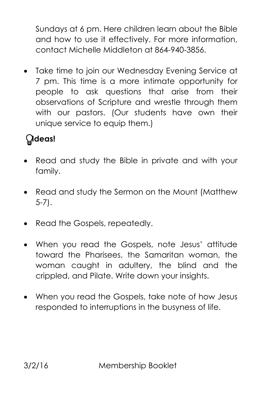Sundays at 6 pm. Here children learn about the Bible and how to use it effectively. For more information, contact Michelle Middleton at 864-940-3856.

 Take time to join our Wednesday Evening Service at 7 pm. This time is a more intimate opportunity for people to ask questions that arise from their observations of Scripture and wrestle through them with our pastors. (Our students have own their unique service to equip them.)

### **Ideas!**

- Read and study the Bible in private and with your family.
- Read and study the Sermon on the Mount (Matthew 5-7).
- Read the Gospels, repeatedly.
- When you read the Gospels, note Jesus' attitude toward the Pharisees, the Samaritan woman, the woman caught in adultery, the blind and the crippled, and Pilate. Write down your insights.
- When you read the Gospels, take note of how Jesus responded to interruptions in the busyness of life.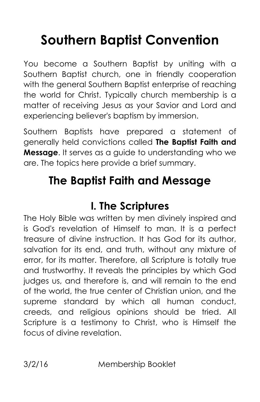# **Southern Baptist Convention**

You become a Southern Baptist by uniting with a Southern Baptist church, one in friendly cooperation with the general Southern Baptist enterprise of reaching the world for Christ. Typically church membership is a matter of receiving Jesus as your Savior and Lord and experiencing believer's baptism by immersion.

Southern Baptists have prepared a statement of generally held convictions called **The Baptist Faith and Message**. It serves as a guide to understanding who we are. The topics here provide a brief summary.

# **The Baptist Faith and Message**

### **I. The Scriptures**

The Holy Bible was written by men divinely inspired and is God's revelation of Himself to man. It is a perfect treasure of divine instruction. It has God for its author, salvation for its end, and truth, without any mixture of error, for its matter. Therefore, all Scripture is totally true and trustworthy. It reveals the principles by which God judges us, and therefore is, and will remain to the end of the world, the true center of Christian union, and the supreme standard by which all human conduct, creeds, and religious opinions should be tried. All Scripture is a testimony to Christ, who is Himself the focus of divine revelation.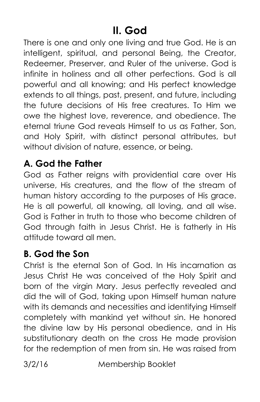### **II. God**

<span id="page-11-0"></span>There is one and only one living and true God. He is an intelligent, spiritual, and personal Being, the Creator, Redeemer, Preserver, and Ruler of the universe. God is infinite in holiness and all other perfections. God is all powerful and all knowing; and His perfect knowledge extends to all things, past, present, and future, including the future decisions of His free creatures. To Him we owe the highest love, reverence, and obedience. The eternal triune God reveals Himself to us as Father, Son, and Holy Spirit, with distinct personal attributes, but without division of nature, essence, or being.

### **A. God the Father**

<span id="page-11-1"></span>God as Father reigns with providential care over His universe, His creatures, and the flow of the stream of human history according to the purposes of His grace. He is all powerful, all knowing, all loving, and all wise. God is Father in truth to those who become children of God through faith in Jesus Christ. He is fatherly in His attitude toward all men.

#### **B. God the Son**

Christ is the eternal Son of God. In His incarnation as Jesus Christ He was conceived of the Holy Spirit and born of the virgin Mary. Jesus perfectly revealed and did the will of God, taking upon Himself human nature with its demands and necessities and identifying Himself completely with mankind yet without sin. He honored the divine law by His personal obedience, and in His substitutionary death on the cross He made provision for the redemption of men from sin. He was raised from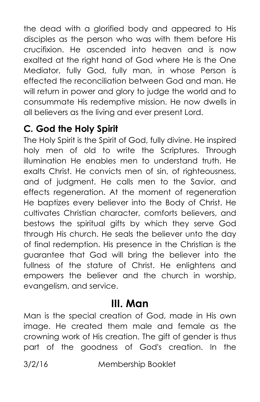the dead with a glorified body and appeared to His disciples as the person who was with them before His crucifixion. He ascended into heaven and is now exalted at the right hand of God where He is the One Mediator, fully God, fully man, in whose Person is effected the reconciliation between God and man. He will return in power and glory to judge the world and to consummate His redemptive mission. He now dwells in all believers as the living and ever present Lord.

### **C. God the Holy Spirit**

The Holy Spirit is the Spirit of God, fully divine. He inspired holy men of old to write the Scriptures. Through illumination He enables men to understand truth. He exalts Christ. He convicts men of sin, of righteousness, and of judgment. He calls men to the Savior, and effects regeneration. At the moment of regeneration He baptizes every believer into the Body of Christ. He cultivates Christian character, comforts believers, and bestows the spiritual gifts by which they serve God through His church. He seals the believer unto the day of final redemption. His presence in the Christian is the guarantee that God will bring the believer into the fullness of the stature of Christ. He enlightens and empowers the believer and the church in worship, evangelism, and service.

### **III. Man**

Man is the special creation of God, made in His own image. He created them male and female as the crowning work of His creation. The gift of gender is thus part of the goodness of God's creation. In the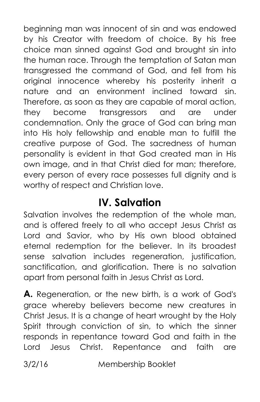beginning man was innocent of sin and was endowed by his Creator with freedom of choice. By his free choice man sinned against God and brought sin into the human race. Through the temptation of Satan man transgressed the command of God, and fell from his original innocence whereby his posterity inherit a nature and an environment inclined toward sin. Therefore, as soon as they are capable of moral action, they become transgressors and are under condemnation. Only the grace of God can bring man into His holy fellowship and enable man to fulfill the creative purpose of God. The sacredness of human personality is evident in that God created man in His own image, and in that Christ died for man; therefore, every person of every race possesses full dignity and is worthy of respect and Christian love.

## **IV. Salvation**

Salvation involves the redemption of the whole man, and is offered freely to all who accept Jesus Christ as Lord and Savior, who by His own blood obtained eternal redemption for the believer. In its broadest sense salvation includes regeneration, justification, sanctification, and glorification. There is no salvation apart from personal faith in Jesus Christ as Lord.

**A.** Regeneration, or the new birth, is a work of God's grace whereby believers become new creatures in Christ Jesus. It is a change of heart wrought by the Holy Spirit through conviction of sin, to which the sinner responds in repentance toward God and faith in the Lord Jesus Christ. Repentance and faith are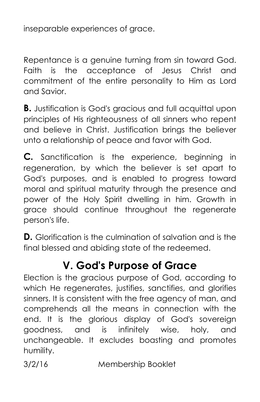inseparable experiences of grace.

Repentance is a genuine turning from sin toward God. Faith is the acceptance of Jesus Christ and commitment of the entire personality to Him as Lord and Savior.

**B.** Justification is God's gracious and full acquittal upon principles of His righteousness of all sinners who repent and believe in Christ. Justification brings the believer unto a relationship of peace and favor with God.

**C.** Sanctification is the experience, beginning in regeneration, by which the believer is set apart to God's purposes, and is enabled to progress toward moral and spiritual maturity through the presence and power of the Holy Spirit dwelling in him. Growth in grace should continue throughout the regenerate person's life.

**D.** Glorification is the culmination of salvation and is the final blessed and abiding state of the redeemed.

### **V. God's Purpose of Grace**

Election is the gracious purpose of God, according to which He regenerates, justifies, sanctifies, and glorifies sinners. It is consistent with the free agency of man, and comprehends all the means in connection with the end. It is the glorious display of God's sovereign goodness, and is infinitely wise, holy, and unchangeable. It excludes boasting and promotes humility.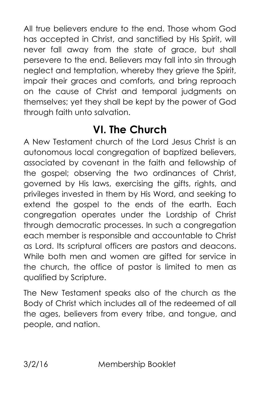All true believers endure to the end. Those whom God has accepted in Christ, and sanctified by His Spirit, will never fall away from the state of grace, but shall persevere to the end. Believers may fall into sin through neglect and temptation, whereby they grieve the Spirit, impair their graces and comforts, and bring reproach on the cause of Christ and temporal judgments on themselves; yet they shall be kept by the power of God through faith unto salvation.

## **VI. The Church**

A New Testament church of the Lord Jesus Christ is an autonomous local congregation of baptized believers, associated by covenant in the faith and fellowship of the gospel; observing the two ordinances of Christ, governed by His laws, exercising the gifts, rights, and privileges invested in them by His Word, and seeking to extend the gospel to the ends of the earth. Each congregation operates under the Lordship of Christ through democratic processes. In such a congregation each member is responsible and accountable to Christ as Lord. Its scriptural officers are pastors and deacons. While both men and women are gifted for service in the church, the office of pastor is limited to men as qualified by Scripture.

The New Testament speaks also of the church as the Body of Christ which includes all of the redeemed of all the ages, believers from every tribe, and tongue, and people, and nation.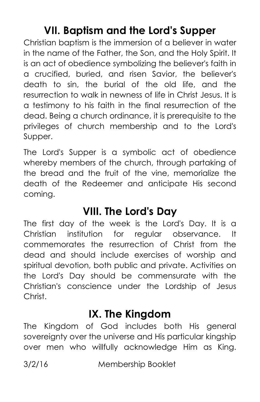## **VII. Baptism and the Lord's Supper**

Christian baptism is the immersion of a believer in water in the name of the Father, the Son, and the Holy Spirit. It is an act of obedience symbolizing the believer's faith in a crucified, buried, and risen Savior, the believer's death to sin, the burial of the old life, and the resurrection to walk in newness of life in Christ Jesus. It is a testimony to his faith in the final resurrection of the dead. Being a church ordinance, it is prerequisite to the privileges of church membership and to the Lord's Supper.

The Lord's Supper is a symbolic act of obedience whereby members of the church, through partaking of the bread and the fruit of the vine, memorialize the death of the Redeemer and anticipate His second coming.

## **VIII. The Lord's Day**

The first day of the week is the Lord's Day. It is a Christian institution for regular observance. It commemorates the resurrection of Christ from the dead and should include exercises of worship and spiritual devotion, both public and private. Activities on the Lord's Day should be commensurate with the Christian's conscience under the Lordship of Jesus Christ.

## **IX. The Kingdom**

The Kingdom of God includes both His general sovereignty over the universe and His particular kingship over men who willfully acknowledge Him as King.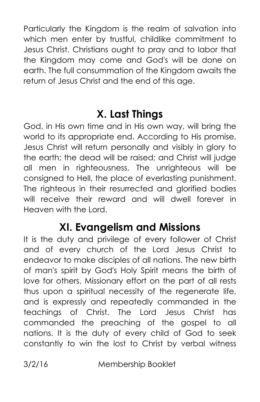Particularly the Kingdom is the realm of salvation into which men enter by trustful, childlike commitment to Jesus Christ. Christians ought to pray and to labor that the Kingdom may come and God's will be done on earth. The full consummation of the Kingdom awaits the return of Jesus Christ and the end of this age.

# **X. Last Things**

God, in His own time and in His own way, will bring the world to its appropriate end. According to His promise, Jesus Christ will return personally and visibly in glory to the earth; the dead will be raised; and Christ will judge all men in righteousness. The unrighteous will be consigned to Hell, the place of everlasting punishment. The righteous in their resurrected and glorified bodies will receive their reward and will dwell forever in Heaven with the Lord.

## **XI. Evangelism and Missions**

It is the duty and privilege of every follower of Christ and of every church of the Lord Jesus Christ to endeavor to make disciples of all nations. The new birth of man's spirit by God's Holy Spirit means the birth of love for others. Missionary effort on the part of all rests thus upon a spiritual necessity of the regenerate life, and is expressly and repeatedly commanded in the teachings of Christ. The Lord Jesus Christ has commanded the preaching of the gospel to all nations. It is the duty of every child of God to seek constantly to win the lost to Christ by verbal witness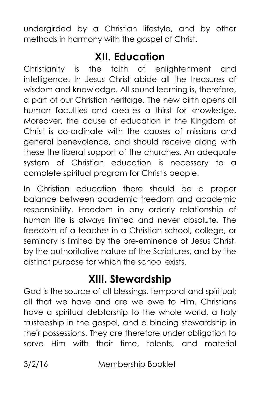undergirded by a Christian lifestyle, and by other methods in harmony with the gospel of Christ.

## **XII. Education**

Christianity is the faith of enlightenment and intelligence. In Jesus Christ abide all the treasures of wisdom and knowledge. All sound learning is, therefore, a part of our Christian heritage. The new birth opens all human faculties and creates a thirst for knowledge. Moreover, the cause of education in the Kingdom of Christ is co-ordinate with the causes of missions and general benevolence, and should receive along with these the liberal support of the churches. An adequate system of Christian education is necessary to a complete spiritual program for Christ's people.

In Christian education there should be a proper balance between academic freedom and academic responsibility. Freedom in any orderly relationship of human life is always limited and never absolute. The freedom of a teacher in a Christian school, college, or seminary is limited by the pre-eminence of Jesus Christ, by the authoritative nature of the Scriptures, and by the distinct purpose for which the school exists.

### **XIII. Stewardship**

God is the source of all blessings, temporal and spiritual; all that we have and are we owe to Him. Christians have a spiritual debtorship to the whole world, a holy trusteeship in the gospel, and a binding stewardship in their possessions. They are therefore under obligation to serve Him with their time, talents, and material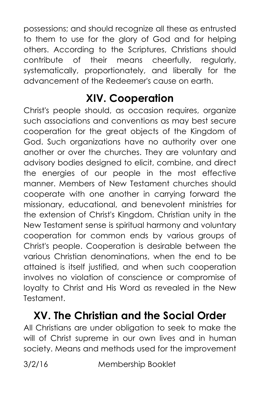possessions; and should recognize all these as entrusted to them to use for the glory of God and for helping others. According to the Scriptures, Christians should contribute of their means cheerfully, regularly, systematically, proportionately, and liberally for the advancement of the Redeemer's cause on earth.

# **XIV. Cooperation**

Christ's people should, as occasion requires, organize such associations and conventions as may best secure cooperation for the great objects of the Kingdom of God. Such organizations have no authority over one another or over the churches. They are voluntary and advisory bodies designed to elicit, combine, and direct the energies of our people in the most effective manner. Members of New Testament churches should cooperate with one another in carrying forward the missionary, educational, and benevolent ministries for the extension of Christ's Kingdom. Christian unity in the New Testament sense is spiritual harmony and voluntary cooperation for common ends by various groups of Christ's people. Cooperation is desirable between the various Christian denominations, when the end to be attained is itself justified, and when such cooperation involves no violation of conscience or compromise of loyalty to Christ and His Word as revealed in the New Testament.

# **XV. The Christian and the Social Order**

All Christians are under obligation to seek to make the will of Christ supreme in our own lives and in human society. Means and methods used for the improvement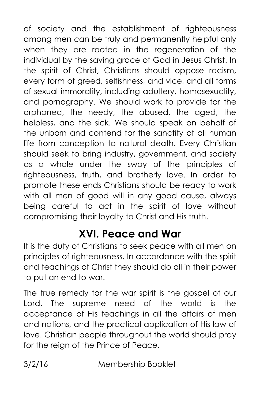of society and the establishment of righteousness among men can be truly and permanently helpful only when they are rooted in the regeneration of the individual by the saving grace of God in Jesus Christ. In the spirit of Christ, Christians should oppose racism, every form of greed, selfishness, and vice, and all forms of sexual immorality, including adultery, homosexuality, and pornography. We should work to provide for the orphaned, the needy, the abused, the aged, the helpless, and the sick. We should speak on behalf of the unborn and contend for the sanctity of all human life from conception to natural death. Every Christian should seek to bring industry, government, and society as a whole under the sway of the principles of righteousness, truth, and brotherly love. In order to promote these ends Christians should be ready to work with all men of good will in any good cause, always being careful to act in the spirit of love without compromising their loyalty to Christ and His truth.

## **XVI. Peace and War**

It is the duty of Christians to seek peace with all men on principles of righteousness. In accordance with the spirit and teachings of Christ they should do all in their power to put an end to war.

The true remedy for the war spirit is the gospel of our Lord. The supreme need of the world is the acceptance of His teachings in all the affairs of men and nations, and the practical application of His law of love. Christian people throughout the world should pray for the reign of the Prince of Peace.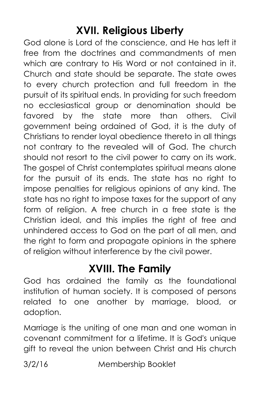# **XVII. Religious Liberty**

God alone is Lord of the conscience, and He has left it free from the doctrines and commandments of men which are contrary to His Word or not contained in it. Church and state should be separate. The state owes to every church protection and full freedom in the pursuit of its spiritual ends. In providing for such freedom no ecclesiastical group or denomination should be favored by the state more than others. Civil government being ordained of God, it is the duty of Christians to render loyal obedience thereto in all things not contrary to the revealed will of God. The church should not resort to the civil power to carry on its work. The gospel of Christ contemplates spiritual means alone for the pursuit of its ends. The state has no right to impose penalties for religious opinions of any kind. The state has no right to impose taxes for the support of any form of religion. A free church in a free state is the Christian ideal, and this implies the right of free and unhindered access to God on the part of all men, and the right to form and propagate opinions in the sphere of religion without interference by the civil power.

### **XVIII. The Family**

God has ordained the family as the foundational institution of human society. It is composed of persons related to one another by marriage, blood, or adoption.

Marriage is the uniting of one man and one woman in covenant commitment for a lifetime. It is God's unique gift to reveal the union between Christ and His church

| 3/2/16<br>Membership Booklet |  |
|------------------------------|--|
|------------------------------|--|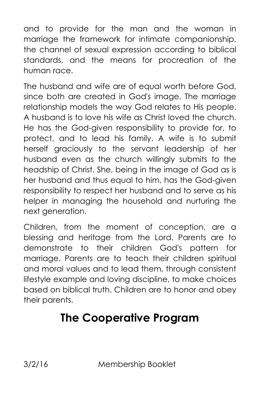and to provide for the man and the woman in marriage the framework for intimate companionship, the channel of sexual expression according to biblical standards, and the means for procreation of the human race.

The husband and wife are of equal worth before God, since both are created in God's image. The marriage relationship models the way God relates to His people. A husband is to love his wife as Christ loved the church. He has the God-given responsibility to provide for, to protect, and to lead his family. A wife is to submit herself graciously to the servant leadership of her husband even as the church willingly submits to the headship of Christ. She, being in the image of God as is her husband and thus equal to him, has the God-given responsibility to respect her husband and to serve as his helper in managing the household and nurturing the next generation.

Children, from the moment of conception, are a blessing and heritage from the Lord. Parents are to demonstrate to their children God's pattern for marriage. Parents are to teach their children spiritual and moral values and to lead them, through consistent lifestyle example and loving discipline, to make choices based on biblical truth. Children are to honor and obey their parents.

# **The Cooperative Program**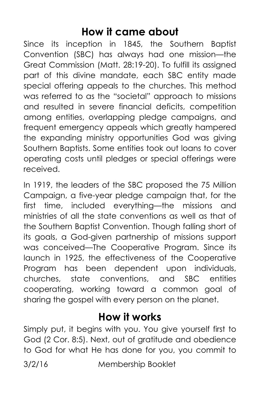### **How it came about**

Since its inception in 1845, the Southern Baptist Convention (SBC) has always had one mission—the Great Commission (Matt. 28:19-20). To fulfill its assigned part of this divine mandate, each SBC entity made special offering appeals to the churches. This method was referred to as the "societal" approach to missions and resulted in severe financial deficits, competition among entities, overlapping pledge campaigns, and frequent emergency appeals which greatly hampered the expanding ministry opportunities God was giving Southern Baptists. Some entities took out loans to cover operating costs until pledges or special offerings were received.

In 1919, the leaders of the SBC proposed the 75 Million Campaign, a five-year pledge campaign that, for the first time, included everything—the missions and ministries of all the state conventions as well as that of the Southern Baptist Convention. Though falling short of its goals, a God-given partnership of missions support was conceived—The Cooperative Program. Since its launch in 1925, the effectiveness of the Cooperative Program has been dependent upon individuals, churches, state conventions, and SBC entities cooperating, working toward a common goal of sharing the gospel with every person on the planet.

### **How it works**

<span id="page-23-0"></span>Simply put, it begins with you. You give yourself first to God (2 Cor. 8:5). Next, out of gratitude and obedience to God for what He has done for you, you commit to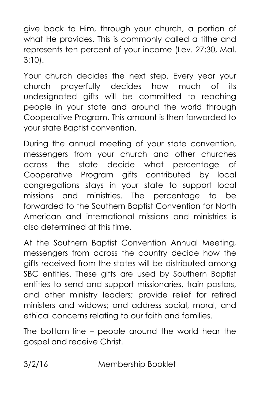give back to Him, through your church, a portion of what He provides. This is commonly called a tithe and represents ten percent of your income (Lev. 27:30, Mal. 3:10).

Your church decides the next step. Every year your church prayerfully decides how much of its undesignated gifts will be committed to reaching people in your state and around the world through Cooperative Program. This amount is then forwarded to your state Baptist convention.

During the annual meeting of your state convention, messengers from your church and other churches across the state decide what percentage of Cooperative Program gifts contributed by local congregations stays in your state to support local missions and ministries. The percentage to be forwarded to the Southern Baptist Convention for North American and international missions and ministries is also determined at this time.

At the Southern Baptist Convention Annual Meeting, messengers from across the country decide how the gifts received from the states will be distributed among SBC entities. These gifts are used by Southern Baptist entities to send and support missionaries, train pastors, and other ministry leaders; provide relief for retired ministers and widows; and address social, moral, and ethical concerns relating to our faith and families.

The bottom line – people around the world hear the gospel and receive Christ.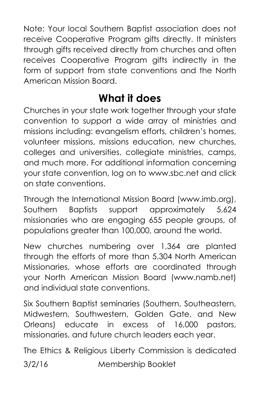Note: Your local Southern Baptist association does not receive Cooperative Program gifts directly. It ministers through gifts received directly from churches and often receives Cooperative Program gifts indirectly in the form of support from state conventions and the North American Mission Board.

## **What it does**

Churches in your state work together through your state convention to support a wide array of ministries and missions including: evangelism efforts, children's homes, volunteer missions, missions education, new churches, colleges and universities, collegiate ministries, camps, and much more. For additional information concerning your state convention, log on to www.sbc.net and click on state conventions.

Through the International Mission Board (www.imb.org), Southern Baptists support approximately 5,624 missionaries who are engaging 655 people groups, of populations greater than 100,000, around the world.

New churches numbering over 1,364 are planted through the efforts of more than 5,304 North American Missionaries, whose efforts are coordinated through your North American Mission Board (www.namb.net) and individual state conventions.

Six Southern Baptist seminaries (Southern, Southeastern, Midwestern, Southwestern, Golden Gate, and New Orleans) educate in excess of 16,000 pastors, missionaries, and future church leaders each year.

3/2/16 Membership Booklet The Ethics & Religious Liberty Commission is dedicated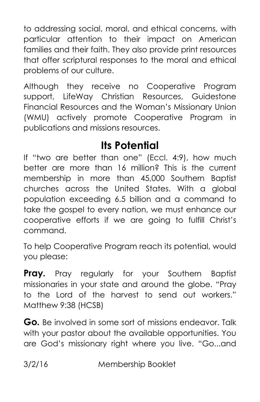to addressing social, moral, and ethical concerns, with particular attention to their impact on American families and their faith. They also provide print resources that offer scriptural responses to the moral and ethical problems of our culture.

Although they receive no Cooperative Program support, LifeWay Christian Resources, Guidestone Financial Resources and the Woman's Missionary Union (WMU) actively promote Cooperative Program in publications and missions resources.

### **Its Potential**

If "two are better than one" (Eccl. 4:9), how much better are more than 16 million? This is the current membership in more than 45,000 Southern Baptist churches across the United States. With a global population exceeding 6.5 billion and a command to take the gospel to every nation, we must enhance our cooperative efforts if we are going to fulfill Christ's command.

To help Cooperative Program reach its potential, would you please:

**Pray.** Pray regularly for your Southern Baptist missionaries in your state and around the globe. "Pray to the Lord of the harvest to send out workers." Matthew 9:38 (HCSB)

**Go.** Be involved in some sort of missions endeavor. Talk with your pastor about the available opportunities. You are God's missionary right where you live. "Go...and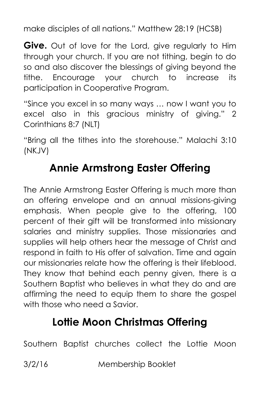make disciples of all nations." Matthew 28:19 (HCSB)

**Give.** Out of love for the Lord, give regularly to Him through your church. If you are not tithing, begin to do so and also discover the blessings of giving beyond the tithe. Encourage your church to increase its participation in Cooperative Program.

"Since you excel in so many ways … now I want you to excel also in this gracious ministry of giving." 2 Corinthians 8:7 (NLT)

"Bring all the tithes into the storehouse." Malachi 3:10 (NKJV)

# **Annie Armstrong Easter Offering**

The Annie Armstrong Easter Offering is much more than an offering envelope and an annual missions-giving emphasis. When people give to the offering, 100 percent of their gift will be transformed into missionary salaries and ministry supplies. Those missionaries and supplies will help others hear the message of Christ and respond in faith to His offer of salvation. Time and again our missionaries relate how the offering is their lifeblood. They know that behind each penny given, there is a Southern Baptist who believes in what they do and are affirming the need to equip them to share the gospel with those who need a Savior.

## **Lottie Moon Christmas Offering**

Southern Baptist churches collect the Lottie Moon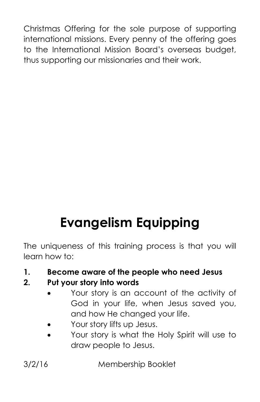Christmas Offering for the sole purpose of supporting international missions. Every penny of the offering goes to the International Mission Board's overseas budget, thus supporting our missionaries and their work.

# <span id="page-28-0"></span>**Evangelism Equipping**

The uniqueness of this training process is that you will learn how to:

- **1. Become aware of the people who need Jesus**
- <span id="page-28-1"></span>**2. Put your story into words**
	- Your story is an account of the activity of God in your life, when Jesus saved you, and how He changed your life.
	- Your story lifts up Jesus.
	- Your story is what the Holy Spirit will use to draw people to Jesus.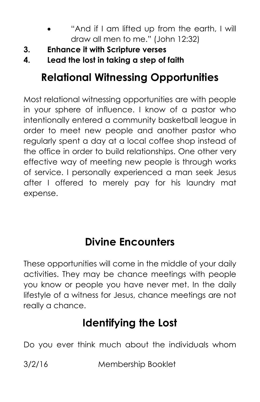- "And if I am lifted up from the earth, I will draw all men to me." (John 12:32)
- **3. Enhance it with Scripture verses**
- **4. Lead the lost in taking a step of faith**

# **Relational Witnessing Opportunities**

Most relational witnessing opportunities are with people in your sphere of influence. I know of a pastor who intentionally entered a community basketball league in order to meet new people and another pastor who regularly spent a day at a local coffee shop instead of the office in order to build relationships. One other very effective way of meeting new people is through works of service. I personally experienced a man seek Jesus after I offered to merely pay for his laundry mat expense.

# **Divine Encounters**

<span id="page-29-0"></span>These opportunities will come in the middle of your daily activities. They may be chance meetings with people you know or people you have never met. In the daily lifestyle of a witness for Jesus, chance meetings are not really a chance.

# **Identifying the Lost**

Do you ever think much about the individuals whom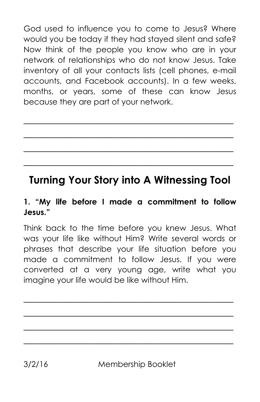God used to influence you to come to Jesus? Where would you be today if they had stayed silent and safe? Now think of the people you know who are in your network of relationships who do not know Jesus. Take inventory of all your contacts lists (cell phones, e-mail accounts, and Facebook accounts). In a few weeks, months, or years, some of these can know Jesus because they are part of your network.

 $\overline{\phantom{a}}$  , and the set of the set of the set of the set of the set of the set of the set of the set of the set of the set of the set of the set of the set of the set of the set of the set of the set of the set of the s

\_\_\_\_\_\_\_\_\_\_\_\_\_\_\_\_\_\_\_\_\_\_\_\_\_\_\_\_\_\_\_\_\_\_\_\_\_\_\_\_

 $\overline{\phantom{a}}$  , and the set of the set of the set of the set of the set of the set of the set of the set of the set of the set of the set of the set of the set of the set of the set of the set of the set of the set of the s

 $\overline{\phantom{a}}$  , and the contract of the contract of the contract of the contract of the contract of the contract of the contract of the contract of the contract of the contract of the contract of the contract of the contrac

### **Turning Your Story into A Witnessing Tool**

#### **1. "My life before I made a commitment to follow Jesus."**

Think back to the time before you knew Jesus. What was your life like without Him? Write several words or phrases that describe your life situation before you made a commitment to follow Jesus. If you were converted at a very young age, write what you imagine your life would be like without Him.

\_\_\_\_\_\_\_\_\_\_\_\_\_\_\_\_\_\_\_\_\_\_\_\_\_\_\_\_\_\_\_\_\_\_\_\_\_\_\_\_

\_\_\_\_\_\_\_\_\_\_\_\_\_\_\_\_\_\_\_\_\_\_\_\_\_\_\_\_\_\_\_\_\_\_\_\_\_\_\_\_

\_\_\_\_\_\_\_\_\_\_\_\_\_\_\_\_\_\_\_\_\_\_\_\_\_\_\_\_\_\_\_\_\_\_\_\_\_\_\_\_

\_\_\_\_\_\_\_\_\_\_\_\_\_\_\_\_\_\_\_\_\_\_\_\_\_\_\_\_\_\_\_\_\_\_\_\_\_\_\_\_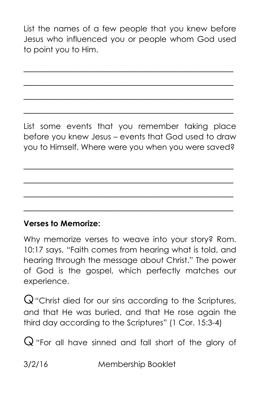List the names of a few people that you knew before Jesus who influenced you or people whom God used to point you to Him.

 $\_$ 

\_\_\_\_\_\_\_\_\_\_\_\_\_\_\_\_\_\_\_\_\_\_\_\_\_\_\_\_\_\_\_\_\_\_\_\_\_\_\_\_

 $\_$ 

\_\_\_\_\_\_\_\_\_\_\_\_\_\_\_\_\_\_\_\_\_\_\_\_\_\_\_\_\_\_\_\_\_\_\_\_\_\_\_\_

List some events that you remember taking place before you knew Jesus – events that God used to draw you to Himself. Where were you when you were saved?

\_\_\_\_\_\_\_\_\_\_\_\_\_\_\_\_\_\_\_\_\_\_\_\_\_\_\_\_\_\_\_\_\_\_\_\_\_\_\_\_

 $\_$ 

\_\_\_\_\_\_\_\_\_\_\_\_\_\_\_\_\_\_\_\_\_\_\_\_\_\_\_\_\_\_\_\_\_\_\_\_\_\_\_\_

 $\_$ 

#### **Verses to Memorize:**

Why memorize verses to weave into your story? Rom. 10:17 says, "Faith comes from hearing what is told, and hearing through the message about Christ." The power of God is the gospel, which perfectly matches our experience.

 $Q$  "Christ died for our sins according to the Scriptures, and that He was buried, and that He rose again the third day according to the Scriptures" (1 Cor. 15:3-4)

 $Q$  "For all have sinned and fall short of the glory of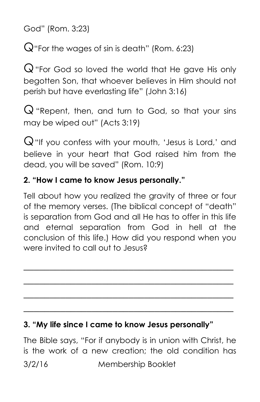God" (Rom. 3:23)

 $\mathsf{Q}$ "For the wages of sin is death" (Rom. 6:23)

 $\Omega$  "For God so loved the world that He gave His only begotten Son, that whoever believes in Him should not perish but have everlasting life" (John 3:16)

 $\operatorname{Q}$  "Repent, then, and turn to God, so that your sins may be wiped out" (Acts 3:19)

 $\operatorname{Q}$  "If you confess with your mouth, 'Jesus is Lord,' and believe in your heart that God raised him from the dead, you will be saved" (Rom. 10:9)

#### **2. "How I came to know Jesus personally."**

Tell about how you realized the gravity of three or four of the memory verses. (The biblical concept of "death" is separation from God and all He has to offer in this life and eternal separation from God in hell at the conclusion of this life.) How did you respond when you were invited to call out to Jesus?

 $\overline{\phantom{a}}$  , and the set of the set of the set of the set of the set of the set of the set of the set of the set of the set of the set of the set of the set of the set of the set of the set of the set of the set of the s

 $\overline{\phantom{a}}$  , and the contract of the contract of the contract of the contract of the contract of the contract of the contract of the contract of the contract of the contract of the contract of the contract of the contrac

 $\overline{\phantom{a}}$  , and the set of the set of the set of the set of the set of the set of the set of the set of the set of the set of the set of the set of the set of the set of the set of the set of the set of the set of the s

 $\overline{\phantom{a}}$  , and the contract of the contract of the contract of the contract of the contract of the contract of the contract of the contract of the contract of the contract of the contract of the contract of the contrac

#### **3. "My life since I came to know Jesus personally"**

3/2/16 Membership Booklet The Bible says, "For if anybody is in union with Christ, he is the work of a new creation; the old condition has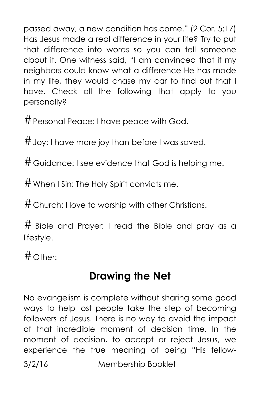passed away, a new condition has come." (2 Cor. 5:17) Has Jesus made a real difference in your life? Try to put that difference into words so you can tell someone about it. One witness said, "I am convinced that if my neighbors could know what a difference He has made in my life, they would chase my car to find out that I have. Check all the following that apply to you personally?

#Personal Peace: <sup>I</sup> have peace with God.

 $\#$  Joy: I have more joy than before I was saved.

#Guidance: <sup>I</sup> see evidence that God is helping me.

#When <sup>I</sup> Sin: The Holy Spirit convicts me.

#Church: <sup>I</sup> love to worship with other Christians.

 $#$  Bible and Prayer: I read the Bible and pray as a lifestyle.

 $\#$  Other:

### **Drawing the Net**

No evangelism is complete without sharing some good ways to help lost people take the step of becoming followers of Jesus. There is no way to avoid the impact of that incredible moment of decision time. In the moment of decision, to accept or reject Jesus, we experience the true meaning of being "His fellow-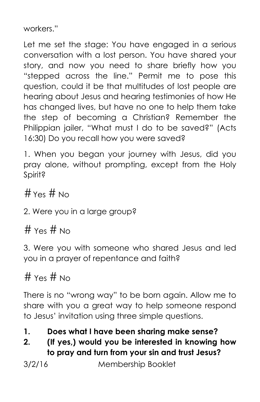workers."

Let me set the stage: You have engaged in a serious conversation with a lost person. You have shared your story, and now you need to share briefly how you "stepped across the line." Permit me to pose this question, could it be that multitudes of lost people are hearing about Jesus and hearing testimonies of how He has changed lives, but have no one to help them take the step of becoming a Christian? Remember the Philippian jailer, "What must I do to be saved?" (Acts 16:30) Do you recall how you were saved?

1. When you began your journey with Jesus, did you pray alone, without prompting, except from the Holy Spirit?

 $#$  Yes  $#$  No

2. Were you in a large group?

 $\#$  Yes  $\#$  No

3. Were you with someone who shared Jesus and led you in a prayer of repentance and faith?

## $\#$  Yes  $\#$  No

There is no "wrong way" to be born again. Allow me to share with you a great way to help someone respond to Jesus' invitation using three simple questions.

- **1. Does what I have been sharing make sense?**
- **2. (If yes,) would you be interested in knowing how to pray and turn from your sin and trust Jesus?**
- 3/2/16 Membership Booklet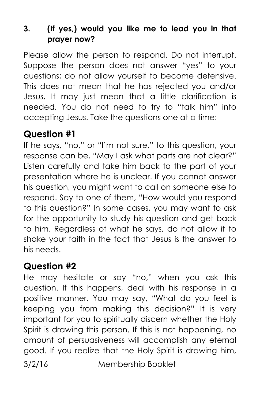#### **3. (If yes,) would you like me to lead you in that prayer now?**

Please allow the person to respond. Do not interrupt. Suppose the person does not answer "yes" to your questions; do not allow yourself to become defensive. This does not mean that he has rejected you and/or Jesus. It may just mean that a little clarification is needed. You do not need to try to "talk him" into accepting Jesus. Take the questions one at a time:

### **Question #1**

If he says, "no," or "I'm not sure," to this question, your response can be, "May I ask what parts are not clear?" Listen carefully and take him back to the part of your presentation where he is unclear. If you cannot answer his question, you might want to call on someone else to respond. Say to one of them, "How would you respond to this question?" In some cases, you may want to ask for the opportunity to study his question and get back to him. Regardless of what he says, do not allow it to shake your faith in the fact that Jesus is the answer to his needs.

#### **Question #2**

He may hesitate or say "no," when you ask this question. If this happens, deal with his response in a positive manner. You may say, "What do you feel is keeping you from making this decision?" It is very important for you to spiritually discern whether the Holy Spirit is drawing this person. If this is not happening, no amount of persuasiveness will accomplish any eternal good. If you realize that the Holy Spirit is drawing him,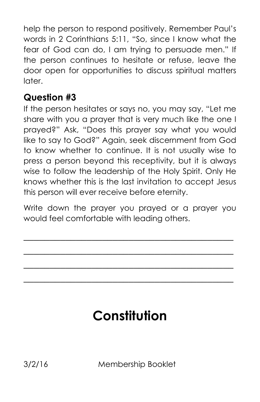help the person to respond positively. Remember Paul's words in 2 Corinthians 5:11, "So, since I know what the fear of God can do, I am trying to persuade men." If the person continues to hesitate or refuse, leave the door open for opportunities to discuss spiritual matters later.

### **Question #3**

If the person hesitates or says no, you may say, "Let me share with you a prayer that is very much like the one I prayed?" Ask, "Does this prayer say what you would like to say to God?" Again, seek discernment from God to know whether to continue. It is not usually wise to press a person beyond this receptivity, but it is always wise to follow the leadership of the Holy Spirit. Only He knows whether this is the last invitation to accept Jesus this person will ever receive before eternity.

Write down the prayer you prayed or a prayer you would feel comfortable with leading others.

 $\overline{\phantom{a}}$  , and the contract of the contract of the contract of the contract of the contract of the contract of the contract of the contract of the contract of the contract of the contract of the contract of the contrac

 $\overline{\phantom{a}}$  , and the set of the set of the set of the set of the set of the set of the set of the set of the set of the set of the set of the set of the set of the set of the set of the set of the set of the set of the s

 $\overline{\phantom{a}}$  , and the contract of the contract of the contract of the contract of the contract of the contract of the contract of the contract of the contract of the contract of the contract of the contract of the contrac

\_\_\_\_\_\_\_\_\_\_\_\_\_\_\_\_\_\_\_\_\_\_\_\_\_\_\_\_\_\_\_\_\_\_\_\_\_\_\_\_

# **Constitution**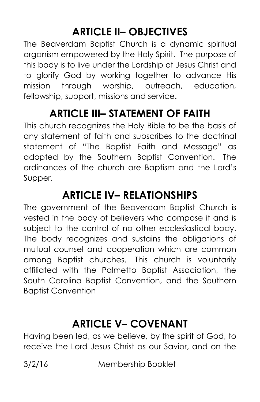# **ARTICLE II– OBJECTIVES**

The Beaverdam Baptist Church is a dynamic spiritual organism empowered by the Holy Spirit. The purpose of this body is to live under the Lordship of Jesus Christ and to glorify God by working together to advance His mission through worship, outreach, education, fellowship, support, missions and service.

# **ARTICLE III– STATEMENT OF FAITH**

This church recognizes the Holy Bible to be the basis of any statement of faith and subscribes to the doctrinal statement of "The Baptist Faith and Message" as adopted by the Southern Baptist Convention. The ordinances of the church are Baptism and the Lord's Supper.

## **ARTICLE IV– RELATIONSHIPS**

The government of the Beaverdam Baptist Church is vested in the body of believers who compose it and is subject to the control of no other ecclesiastical body. The body recognizes and sustains the obligations of mutual counsel and cooperation which are common among Baptist churches. This church is voluntarily affiliated with the Palmetto Baptist Association, the South Carolina Baptist Convention, and the Southern Baptist Convention

### **ARTICLE V– COVENANT**

<span id="page-37-0"></span>Having been led, as we believe, by the spirit of God, to receive the Lord Jesus Christ as our Savior, and on the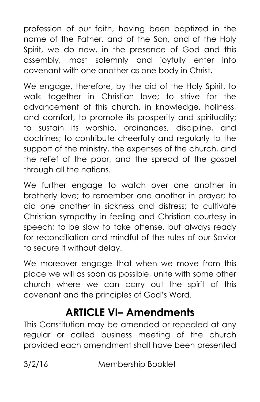profession of our faith, having been baptized in the name of the Father, and of the Son, and of the Holy Spirit, we do now, in the presence of God and this assembly, most solemnly and joyfully enter into covenant with one another as one body in Christ.

We engage, therefore, by the aid of the Holy Spirit, to walk together in Christian love; to strive for the advancement of this church, in knowledge, holiness, and comfort, to promote its prosperity and spirituality; to sustain its worship, ordinances, discipline, and doctrines; to contribute cheerfully and regularly to the support of the ministry, the expenses of the church, and the relief of the poor, and the spread of the gospel through all the nations.

We further engage to watch over one another in brotherly love; to remember one another in prayer; to aid one another in sickness and distress; to cultivate Christian sympathy in feeling and Christian courtesy in speech; to be slow to take offense, but always ready for reconciliation and mindful of the rules of our Savior to secure it without delay.

We moreover engage that when we move from this place we will as soon as possible, unite with some other church where we can carry out the spirit of this covenant and the principles of God's Word.

# **ARTICLE VI– Amendments**

This Constitution may be amended or repealed at any regular or called business meeting of the church provided each amendment shall have been presented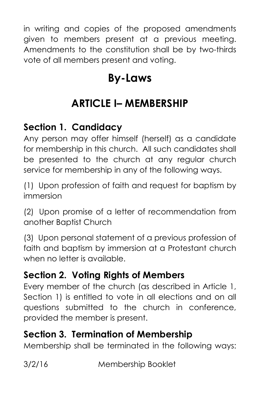in writing and copies of the proposed amendments given to members present at a previous meeting. Amendments to the constitution shall be by two-thirds vote of all members present and voting.

# **By-Laws**

# **ARTICLE I– MEMBERSHIP**

### **Section 1. Candidacy**

Any person may offer himself (herself) as a candidate for membership in this church. All such candidates shall be presented to the church at any regular church service for membership in any of the following ways.

(1) Upon profession of faith and request for baptism by immersion

(2) Upon promise of a letter of recommendation from another Baptist Church

(3) Upon personal statement of a previous profession of faith and baptism by immersion at a Protestant church when no letter is available.

### **Section 2. Voting Rights of Members**

Every member of the church (as described in Article 1, Section 1) is entitled to vote in all elections and on all questions submitted to the church in conference, provided the member is present.

### **Section 3. Termination of Membership**

Membership shall be terminated in the following ways: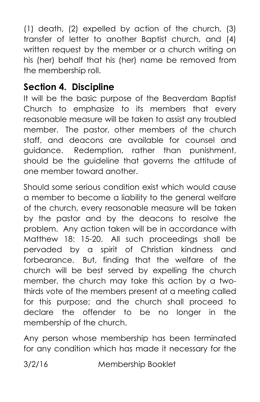(1) death, (2) expelled by action of the church, (3) transfer of letter to another Baptist church, and (4) written request by the member or a church writing on his (her) behalf that his (her) name be removed from the membership roll.

### <span id="page-40-0"></span>**Section 4. Discipline**

It will be the basic purpose of the Beaverdam Baptist Church to emphasize to its members that every reasonable measure will be taken to assist any troubled member. The pastor, other members of the church staff, and deacons are available for counsel and guidance. Redemption, rather than punishment, should be the guideline that governs the attitude of one member toward another.

Should some serious condition exist which would cause a member to become a liability to the general welfare of the church, every reasonable measure will be taken by the pastor and by the deacons to resolve the problem. Any action taken will be in accordance with Matthew 18: 15-20. All such proceedings shall be pervaded by a spirit of Christian kindness and forbearance. But, finding that the welfare of the church will be best served by expelling the church member, the church may take this action by a twothirds vote of the members present at a meeting called for this purpose; and the church shall proceed to declare the offender to be no longer in the membership of the church.

Any person whose membership has been terminated for any condition which has made it necessary for the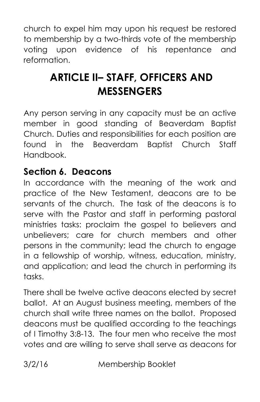church to expel him may upon his request be restored to membership by a two-thirds vote of the membership voting upon evidence of his repentance and reformation.

# **ARTICLE II– STAFF, OFFICERS AND MESSENGERS**

Any person serving in any capacity must be an active member in good standing of Beaverdam Baptist Church. Duties and responsibilities for each position are found in the Beaverdam Baptist Church Staff Handbook.

#### **Section 6. Deacons**

In accordance with the meaning of the work and practice of the New Testament, deacons are to be servants of the church. The task of the deacons is to serve with the Pastor and staff in performing pastoral ministries tasks: proclaim the gospel to believers and unbelievers; care for church members and other persons in the community; lead the church to engage in a fellowship of worship, witness, education, ministry, and application; and lead the church in performing its tasks.

There shall be twelve active deacons elected by secret ballot. At an August business meeting, members of the church shall write three names on the ballot. Proposed deacons must be qualified according to the teachings of I Timothy 3:8-13. The four men who receive the most votes and are willing to serve shall serve as deacons for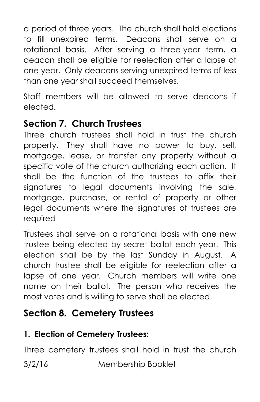a period of three years. The church shall hold elections to fill unexpired terms. Deacons shall serve on a rotational basis. After serving a three-year term, a deacon shall be eligible for reelection after a lapse of one year. Only deacons serving unexpired terms of less than one year shall succeed themselves.

Staff members will be allowed to serve deacons if elected.

### **Section 7. Church Trustees**

Three church trustees shall hold in trust the church property. They shall have no power to buy, sell, mortgage, lease, or transfer any property without a specific vote of the church authorizing each action. It shall be the function of the trustees to affix their signatures to legal documents involving the sale, mortgage, purchase, or rental of property or other legal documents where the signatures of trustees are required

Trustees shall serve on a rotational basis with one new trustee being elected by secret ballot each year. This election shall be by the last Sunday in August. A church trustee shall be eligible for reelection after a lapse of one year. Church members will write one name on their ballot. The person who receives the most votes and is willing to serve shall be elected.

### **Section 8. Cemetery Trustees**

### **1. Election of Cemetery Trustees:**

3/2/16 Membership Booklet Three cemetery trustees shall hold in trust the church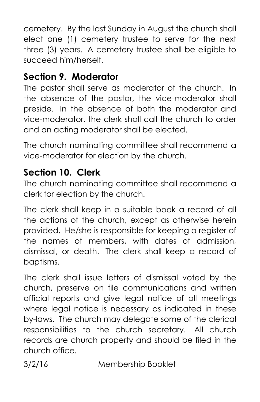cemetery. By the last Sunday in August the church shall elect one (1) cemetery trustee to serve for the next three (3) years. A cemetery trustee shall be eligible to succeed him/herself.

### **Section 9. Moderator**

The pastor shall serve as moderator of the church. In the absence of the pastor, the vice-moderator shall preside. In the absence of both the moderator and vice-moderator, the clerk shall call the church to order and an acting moderator shall be elected.

The church nominating committee shall recommend a vice-moderator for election by the church.

### **Section 10. Clerk**

The church nominating committee shall recommend a clerk for election by the church.

The clerk shall keep in a suitable book a record of all the actions of the church, except as otherwise herein provided. He/she is responsible for keeping a register of the names of members, with dates of admission, dismissal, or death. The clerk shall keep a record of baptisms.

The clerk shall issue letters of dismissal voted by the church, preserve on file communications and written official reports and give legal notice of all meetings where legal notice is necessary as indicated in these by-laws. The church may delegate some of the clerical responsibilities to the church secretary. All church records are church property and should be filed in the church office.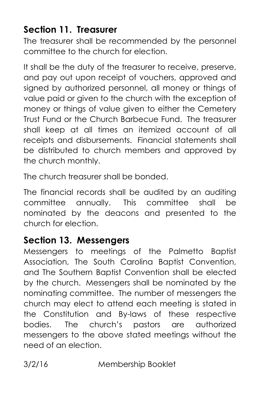### **Section 11. Treasurer**

The treasurer shall be recommended by the personnel committee to the church for election.

It shall be the duty of the treasurer to receive, preserve, and pay out upon receipt of vouchers, approved and signed by authorized personnel, all money or things of value paid or given to the church with the exception of money or things of value given to either the Cemetery Trust Fund or the Church Barbecue Fund. The treasurer shall keep at all times an itemized account of all receipts and disbursements. Financial statements shall be distributed to church members and approved by the church monthly.

The church treasurer shall be bonded.

The financial records shall be audited by an auditing committee annually. This committee shall be nominated by the deacons and presented to the church for election.

#### **Section 13. Messengers**

Messengers to meetings of the Palmetto Baptist Association, The South Carolina Baptist Convention, and The Southern Baptist Convention shall be elected by the church. Messengers shall be nominated by the nominating committee. The number of messengers the church may elect to attend each meeting is stated in the Constitution and By-laws of these respective bodies. The church's pastors are authorized messengers to the above stated meetings without the need of an election.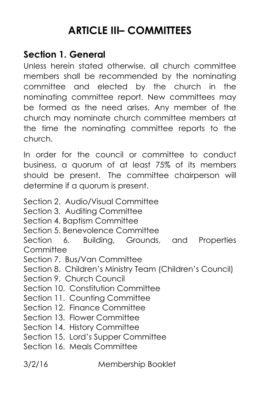# **ARTICLE III– COMMITTEES**

#### **Section 1. General**

Unless herein stated otherwise, all church committee members shall be recommended by the nominating committee and elected by the church in the nominating committee report. New committees may be formed as the need arises. Any member of the church may nominate church committee members at the time the nominating committee reports to the church.

In order for the council or committee to conduct business, a quorum of at least 75% of its members should be present. The committee chairperson will determine if a quorum is present.

Section 2. Audio/Visual Committee

Section 3. Auditing Committee

Section 4. Baptism Committee

Section 5. Benevolence Committee

Section 6. Building, Grounds, and Properties **Committee** 

Section 7. Bus/Van Committee

Section 8. Children's Ministry Team (Children's Council)

Section 9. Church Council

Section 10. Constitution Committee

Section 11. Counting Committee

Section 12. Finance Committee

Section 13. Flower Committee

Section 14. History Committee

Section 15. Lord's Supper Committee

Section 16. Meals Committee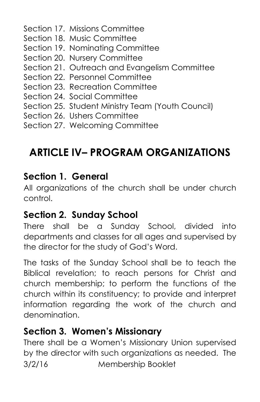Section 17. Missions Committee Section 18. Music Committee Section 19. Nominating Committee Section 20. Nursery Committee Section 21. Outreach and Evangelism Committee Section 22. Personnel Committee Section 23. Recreation Committee Section 24. Social Committee Section 25. Student Ministry Team (Youth Council) Section 26. Ushers Committee Section 27. Welcoming Committee

# **ARTICLE IV– PROGRAM ORGANIZATIONS**

#### **Section 1. General**

All organizations of the church shall be under church control.

#### **Section 2. Sunday School**

There shall be a Sunday School, divided into departments and classes for all ages and supervised by the director for the study of God's Word.

The tasks of the Sunday School shall be to teach the Biblical revelation; to reach persons for Christ and church membership; to perform the functions of the church within its constituency; to provide and interpret information regarding the work of the church and denomination.

#### **Section 3. Women's Missionary**

3/2/16 Membership Booklet There shall be a Women's Missionary Union supervised by the director with such organizations as needed. The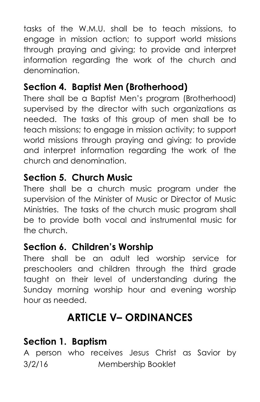tasks of the W.M.U. shall be to teach missions, to engage in mission action; to support world missions through praying and giving; to provide and interpret information regarding the work of the church and denomination.

### **Section 4. Baptist Men (Brotherhood)**

There shall be a Baptist Men's program (Brotherhood) supervised by the director with such organizations as needed. The tasks of this group of men shall be to teach missions; to engage in mission activity; to support world missions through praying and giving; to provide and interpret information regarding the work of the church and denomination.

### **Section 5. Church Music**

There shall be a church music program under the supervision of the Minister of Music or Director of Music Ministries. The tasks of the church music program shall be to provide both vocal and instrumental music for the church.

#### **Section 6. Children's Worship**

There shall be an adult led worship service for preschoolers and children through the third grade taught on their level of understanding during the Sunday morning worship hour and evening worship hour as needed.

# **ARTICLE V– ORDINANCES**

### **Section 1. Baptism**

3/2/16 Membership Booklet A person who receives Jesus Christ as Savior by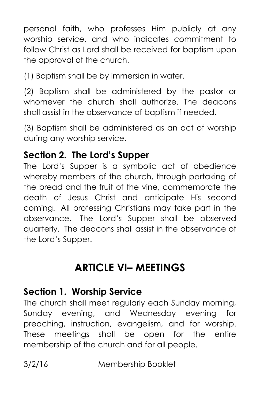personal faith, who professes Him publicly at any worship service, and who indicates commitment to follow Christ as Lord shall be received for baptism upon the approval of the church.

(1) Baptism shall be by immersion in water.

(2) Baptism shall be administered by the pastor or whomever the church shall authorize. The deacons shall assist in the observance of baptism if needed.

(3) Baptism shall be administered as an act of worship during any worship service.

### **Section 2. The Lord's Supper**

The Lord's Supper is a symbolic act of obedience whereby members of the church, through partaking of the bread and the fruit of the vine, commemorate the death of Jesus Christ and anticipate His second coming. All professing Christians may take part in the observance. The Lord's Supper shall be observed quarterly. The deacons shall assist in the observance of the Lord's Supper.

## **ARTICLE VI– MEETINGS**

### **Section 1. Worship Service**

The church shall meet regularly each Sunday morning, Sunday evening, and Wednesday evening for preaching, instruction, evangelism, and for worship. These meetings shall be open for the entire membership of the church and for all people.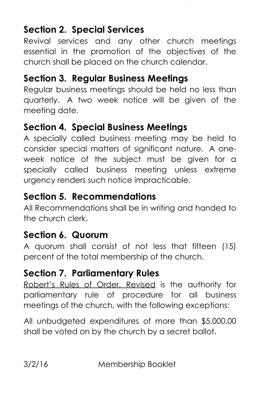### **Section 2. Special Services**

Revival services and any other church meetings essential in the promotion of the objectives of the church shall be placed on the church calendar.

### **Section 3. Regular Business Meetings**

Regular business meetings should be held no less than quarterly. A two week notice will be given of the meeting date.

### **Section 4. Special Business Meetings**

A specially called business meeting may be held to consider special matters of significant nature. A oneweek notice of the subject must be given for a specially called business meeting unless extreme urgency renders such notice impracticable.

### **Section 5. Recommendations**

All Recommendations shall be in writing and handed to the church clerk.

### **Section 6. Quorum**

A quorum shall consist of not less that fifteen (15) percent of the total membership of the church.

#### **Section 7. Parliamentary Rules**

Robert's Rules of Order, Revised is the authority for parliamentary rule of procedure for all business meetings of the church, with the following exceptions:

All unbudgeted expenditures of more than \$5,000.00 shall be voted on by the church by a secret ballot.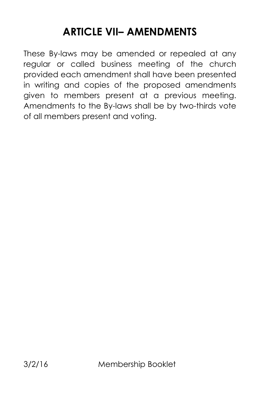# **ARTICLE VII– AMENDMENTS**

These By-laws may be amended or repealed at any regular or called business meeting of the church provided each amendment shall have been presented in writing and copies of the proposed amendments given to members present at a previous meeting. Amendments to the By-laws shall be by two-thirds vote of all members present and voting.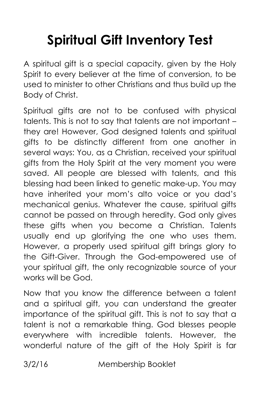# **Spiritual Gift Inventory Test**

A spiritual gift is a special capacity, given by the Holy Spirit to every believer at the time of conversion, to be used to minister to other Christians and thus build up the Body of Christ.

Spiritual gifts are not to be confused with physical talents. This is not to say that talents are not important – they are! However, God designed talents and spiritual gifts to be distinctly different from one another in several ways: You, as a Christian, received your spiritual gifts from the Holy Spirit at the very moment you were saved. All people are blessed with talents, and this blessing had been linked to genetic make-up. You may have inherited your mom's alto voice or you dad's mechanical genius. Whatever the cause, spiritual gifts cannot be passed on through heredity. God only gives these gifts when you become a Christian. Talents usually end up glorifying the one who uses them. However, a properly used spiritual gift brings glory to the Gift-Giver. Through the God-empowered use of your spiritual gift, the only recognizable source of your works will be God.

Now that you know the difference between a talent and a spiritual gift, you can understand the greater importance of the spiritual gift. This is not to say that a talent is not a remarkable thing. God blesses people everywhere with incredible talents. However, the wonderful nature of the gift of the Holy Spirit is far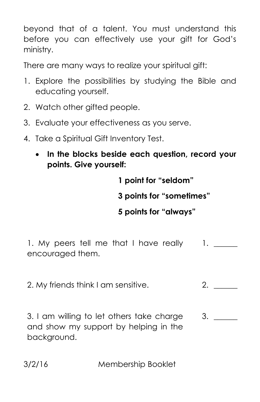<span id="page-52-0"></span>beyond that of a talent. You must understand this before you can effectively use your gift for God's ministry.

There are many ways to realize your spiritual gift:

- 1. Explore the possibilities by studying the Bible and educating yourself.
- 2. Watch other gifted people.
- 3. Evaluate your effectiveness as you serve.
- 4. Take a Spiritual Gift Inventory Test.
	- **In the blocks beside each question, record your points. Give yourself:**

**1 point for "seldom"**

**3 points for "sometimes"**

**5 points for "always"**

| 1. My peers tell me that I have really |  |  |  |  |  |
|----------------------------------------|--|--|--|--|--|
| encouraged them.                       |  |  |  |  |  |

2. My friends think I am sensitive. 2. \_\_\_\_\_\_

| 3. I am willing to let others take charge |  |
|-------------------------------------------|--|
| and show my support by helping in the     |  |
| background.                               |  |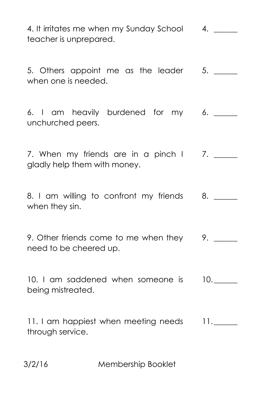4. It irritates me when my Sunday School teacher is unprepared. 4. \_\_\_\_\_\_

5. Others appoint me as the leader when one is needed. 5. \_\_\_\_\_\_

6. I am heavily burdened for my unchurched peers. 6. \_\_\_\_\_\_

7. When my friends are in a pinch I gladly help them with money. 7. \_\_\_\_\_\_

8. I am willing to confront my friends when they sin.  $8.$ 

9. Other friends come to me when they need to be cheered up. 9. \_\_\_\_\_\_

10. I am saddened when someone is being mistreated. 10.\_\_\_\_\_\_

11. I am happiest when meeting needs through service. 11.\_\_\_\_\_\_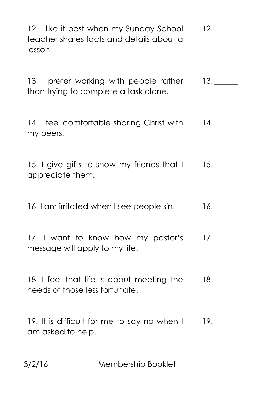| 12. I like it best when my Sunday School<br>teacher shares facts and details about a<br>lesson. | 12. |
|-------------------------------------------------------------------------------------------------|-----|
| 13. I prefer working with people rather<br>than trying to complete a task alone.                | 13. |
| 14. I feel comfortable sharing Christ with<br>my peers.                                         | 14. |
| 15. I give gifts to show my friends that I<br>appreciate them.                                  | 15. |
| 16. I am irritated when I see people sin.                                                       | 16. |
| 17. I want to know how my pastor's<br>message will apply to my life.                            | 17. |
| 18. I feel that life is about meeting the<br>needs of those less fortunate.                     | 18. |
| 19. It is difficult for me to say no when I<br>am asked to help.                                | 19. |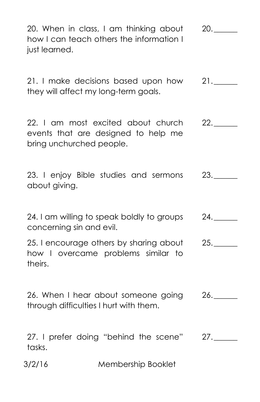20. When in class, I am thinking about how I can teach others the information I just learned.

21. I make decisions based upon how they will affect my long-term goals. 21.\_\_\_\_\_\_

20.\_\_\_\_\_\_

22.\_\_\_\_\_\_

24.\_\_\_\_\_\_

22. I am most excited about church events that are designed to help me bring unchurched people.

23. I enjoy Bible studies and sermons about giving. 23.\_\_\_\_\_\_

24. I am willing to speak boldly to groups concerning sin and evil.

25. I encourage others by sharing about how I overcame problems similar to theirs. 25.\_\_\_\_\_\_

26. When I hear about someone going through difficulties I hurt with them. 26.\_\_\_\_\_\_

|        |  |  | 27. I prefer doing "behind the scene" |  |
|--------|--|--|---------------------------------------|--|
| tasks. |  |  |                                       |  |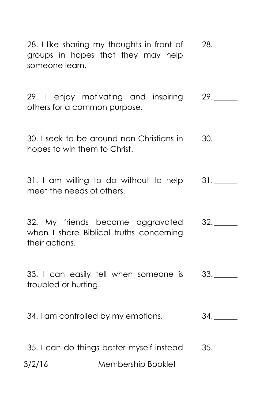3/2/16 Membership Booklet 28. I like sharing my thoughts in front of groups in hopes that they may help someone learn. 28.\_\_\_\_\_\_ 29. I enjoy motivating and inspiring others for a common purpose.  $29.$ 30. I seek to be around non-Christians in hopes to win them to Christ. 30.\_\_\_\_\_\_ 31. I am willing to do without to help meet the needs of others.  $31.$ 32. My friends become aggravated when I share Biblical truths concerning their actions. 32.\_\_\_\_\_\_ 33. I can easily tell when someone is troubled or hurting. 33.\_\_\_\_\_\_ 34. I am controlled by my emotions.  $34.$ 35. I can do things better myself instead 35.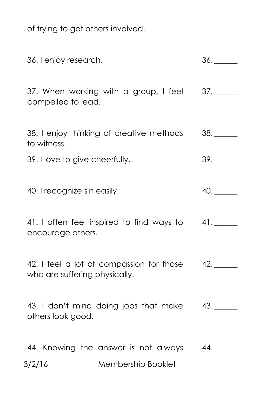of trying to get others involved.

| 36. I enjoy research.          |                                                            | 36. |
|--------------------------------|------------------------------------------------------------|-----|
| compelled to lead.             | 37. When working with a group, I feel                      | 37. |
| to witness.                    | 38. I enjoy thinking of creative methods                   | 38. |
| 39. I love to give cheerfully. |                                                            | 39. |
| 40. I recognize sin easily.    |                                                            | 40. |
| encourage others.              | 41. I often feel inspired to find ways to                  | 41. |
| who are suffering physically.  | 42. I feel a lot of compassion for those                   | 42. |
| others look good.              | 43. I don't mind doing jobs that make                      | 43. |
| 3/2/16                         | 44. Knowing the answer is not always<br>Membership Booklet | 44. |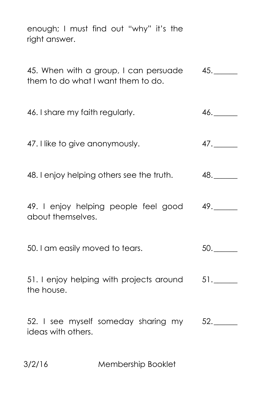enough; I must find out "why" it's the right answer.

| 45. When with a group, I can persuade<br>them to do what I want them to do. | 45. |
|-----------------------------------------------------------------------------|-----|
| 46. I share my faith regularly.                                             | 46. |
| 47. I like to give anonymously.                                             | 47. |
| 48. I enjoy helping others see the truth.                                   | 48. |
| 49. I enjoy helping people feel good 49.<br>about themselves.               |     |
| 50. I am easily moved to tears.                                             | 50. |
| 51. I enjoy helping with projects around 51.<br>the house.                  |     |
| 52. I see myself someday sharing my 52.<br>ideas with others.               |     |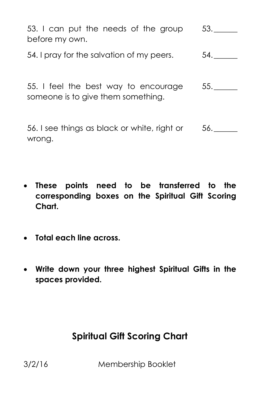| 53. I can put the needs of the group<br>before my own.                     | 53. |
|----------------------------------------------------------------------------|-----|
| 54. I pray for the salvation of my peers.                                  | 54. |
| 55. I feel the best way to encourage<br>someone is to give them something. | 55. |
| 56. I see things as black or white, right or                               | 56. |

- **These points need to be transferred to the corresponding boxes on the Spiritual Gift Scoring Chart.**
- **Total each line across.**
- **Write down your three highest Spiritual Gifts in the spaces provided.**

### **Spiritual Gift Scoring Chart**

wrong.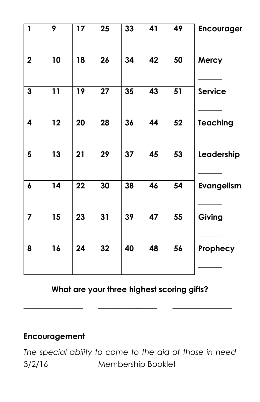| $\mathbf{1}$            | 9  | 17 | 25 | 33 | 41 | 49 | <b>Encourager</b> |
|-------------------------|----|----|----|----|----|----|-------------------|
| $\overline{\mathbf{2}}$ | 10 | 18 | 26 | 34 | 42 | 50 | Mercy             |
| 3                       | 11 | 19 | 27 | 35 | 43 | 51 | <b>Service</b>    |
| 4                       | 12 | 20 | 28 | 36 | 44 | 52 | <b>Teaching</b>   |
| 5                       | 13 | 21 | 29 | 37 | 45 | 53 | Leadership        |
| 6                       | 14 | 22 | 30 | 38 | 46 | 54 | Evangelism        |
| 7                       | 15 | 23 | 31 | 39 | 47 | 55 | Giving            |
| 8                       | 16 | 24 | 32 | 40 | 48 | 56 | Prophecy          |
|                         |    |    |    |    |    |    |                   |

#### **What are your three highest scoring gifts?**

**\_\_\_\_\_\_\_\_\_\_\_\_\_\_\_ \_\_\_\_\_\_\_\_\_\_\_\_\_\_\_ \_\_\_\_\_\_\_\_\_\_\_\_\_\_\_**

#### **Encouragement**

3/2/16 Membership Booklet *The special ability to come to the aid of those in need*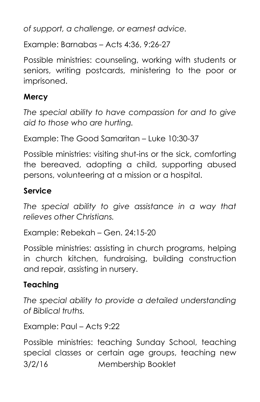*of support, a challenge, or earnest advice.*

Example: Barnabas – Acts 4:36, 9:26-27

Possible ministries: counseling, working with students or seniors, writing postcards, ministering to the poor or imprisoned.

#### **Mercy**

*The special ability to have compassion for and to give aid to those who are hurting.*

Example: The Good Samaritan – Luke 10:30-37

Possible ministries: visiting shut-ins or the sick, comforting the bereaved, adopting a child, supporting abused persons, volunteering at a mission or a hospital.

#### **Service**

*The special ability to give assistance in a way that relieves other Christians.*

Example: Rebekah – Gen. 24:15-20

Possible ministries: assisting in church programs, helping in church kitchen, fundraising, building construction and repair, assisting in nursery.

#### **Teaching**

*The special ability to provide a detailed understanding of Biblical truths.*

Example: Paul – Acts 9:22

3/2/16 Membership Booklet Possible ministries: teaching Sunday School, teaching special classes or certain age groups, teaching new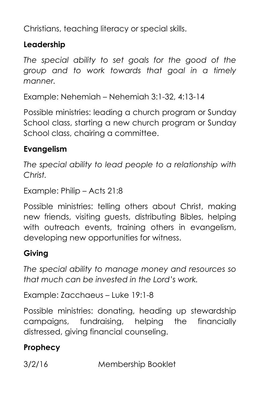Christians, teaching literacy or special skills.

#### **Leadership**

*The special ability to set goals for the good of the group and to work towards that goal in a timely manner.*

Example: Nehemiah – Nehemiah 3:1-32, 4:13-14

Possible ministries: leading a church program or Sunday School class, starting a new church program or Sunday School class, chairing a committee.

#### **Evangelism**

*The special ability to lead people to a relationship with Christ.*

Example: Philip – Acts 21:8

Possible ministries: telling others about Christ, making new friends, visiting guests, distributing Bibles, helping with outreach events, training others in evangelism, developing new opportunities for witness.

#### **Giving**

*The special ability to manage money and resources so that much can be invested in the Lord's work.*

Example: Zacchaeus – Luke 19:1-8

Possible ministries: donating, heading up stewardship campaigns, fundraising, helping the financially distressed, giving financial counseling.

#### **Prophecy**